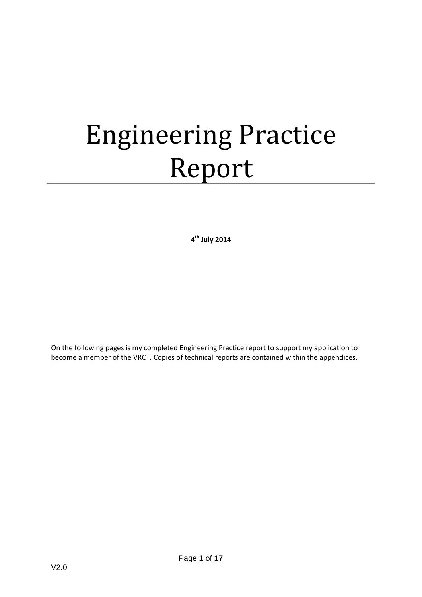# Engineering Practice Report

**4 th July 2014**

On the following pages is my completed Engineering Practice report to support my application to become a member of the VRCT. Copies of technical reports are contained within the appendices.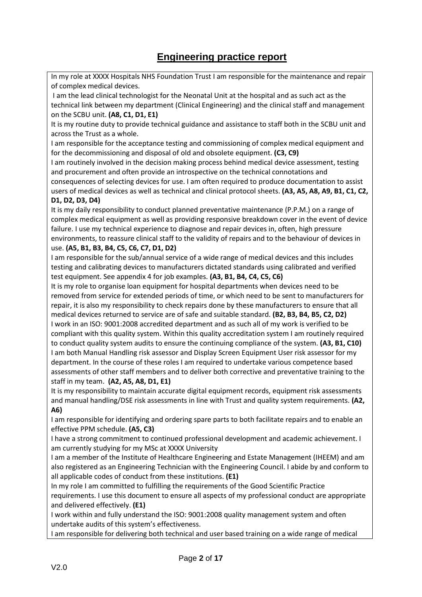## **Engineering practice report**

In my role at XXXX Hospitals NHS Foundation Trust I am responsible for the maintenance and repair of complex medical devices.

I am the lead clinical technologist for the Neonatal Unit at the hospital and as such act as the technical link between my department (Clinical Engineering) and the clinical staff and management on the SCBU unit. **(A8, C1, D1, E1)**

It is my routine duty to provide technical guidance and assistance to staff both in the SCBU unit and across the Trust as a whole.

I am responsible for the acceptance testing and commissioning of complex medical equipment and for the decommissioning and disposal of old and obsolete equipment. **(C3, C9)**

I am routinely involved in the decision making process behind medical device assessment, testing and procurement and often provide an introspective on the technical connotations and

consequences of selecting devices for use. I am often required to produce documentation to assist users of medical devices as well as technical and clinical protocol sheets. **(A3, A5, A8, A9, B1, C1, C2, D1, D2, D3, D4)**

#### It is my daily responsibility to conduct planned preventative maintenance (P.P.M.) on a range of complex medical equipment as well as providing responsive breakdown cover in the event of device failure. I use my technical experience to diagnose and repair devices in, often, high pressure environments, to reassure clinical staff to the validity of repairs and to the behaviour of devices in use. **(A5, B1, B3, B4, C5, C6, C7, D1, D2)**

I am responsible for the sub/annual service of a wide range of medical devices and this includes testing and calibrating devices to manufacturers dictated standards using calibrated and verified test equipment. See appendix 4 for job examples. **(A3, B1, B4, C4, C5, C6)**

It is my role to organise loan equipment for hospital departments when devices need to be removed from service for extended periods of time, or which need to be sent to manufacturers for repair, it is also my responsibility to check repairs done by these manufacturers to ensure that all medical devices returned to service are of safe and suitable standard. **(B2, B3, B4, B5, C2, D2)** I work in an ISO: 9001:2008 accredited department and as such all of my work is verified to be compliant with this quality system. Within this quality accreditation system I am routinely required to conduct quality system audits to ensure the continuing compliance of the system. **(A3, B1, C10)** I am both Manual Handling risk assessor and Display Screen Equipment User risk assessor for my department. In the course of these roles I am required to undertake various competence based assessments of other staff members and to deliver both corrective and preventative training to the staff in my team. **(A2, A5, A8, D1, E1)**

It is my responsibility to maintain accurate digital equipment records, equipment risk assessments and manual handling/DSE risk assessments in line with Trust and quality system requirements. **(A2, A6)**

I am responsible for identifying and ordering spare parts to both facilitate repairs and to enable an effective PPM schedule. **(A5, C3)**

I have a strong commitment to continued professional development and academic achievement. I am currently studying for my MSc at XXXX University

I am a member of the Institute of Healthcare Engineering and Estate Management (IHEEM) and am also registered as an Engineering Technician with the Engineering Council. I abide by and conform to all applicable codes of conduct from these institutions. **(E1)**

In my role I am committed to fulfilling the requirements of the Good Scientific Practice requirements. I use this document to ensure all aspects of my professional conduct are appropriate and delivered effectively. **(E1)**

I work within and fully understand the ISO: 9001:2008 quality management system and often undertake audits of this system's effectiveness.

I am responsible for delivering both technical and user based training on a wide range of medical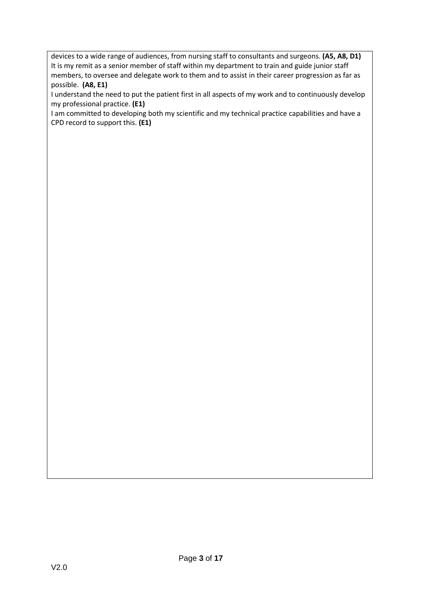devices to a wide range of audiences, from nursing staff to consultants and surgeons. **(A5, A8, D1)** It is my remit as a senior member of staff within my department to train and guide junior staff members, to oversee and delegate work to them and to assist in their career progression as far as possible. **(A8, E1)**

I understand the need to put the patient first in all aspects of my work and to continuously develop my professional practice. **(E1)**

I am committed to developing both my scientific and my technical practice capabilities and have a CPD record to support this. **(E1)**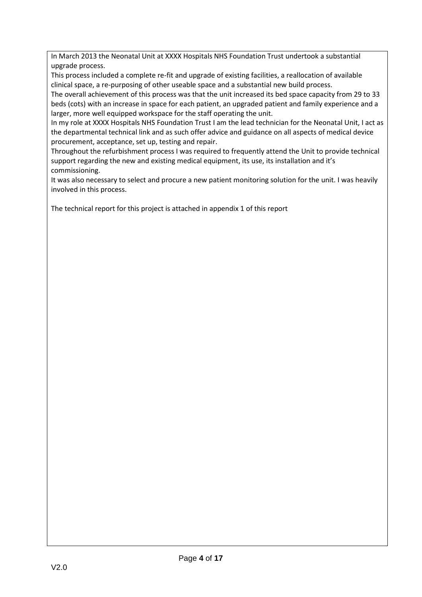In March 2013 the Neonatal Unit at XXXX Hospitals NHS Foundation Trust undertook a substantial upgrade process.

This process included a complete re-fit and upgrade of existing facilities, a reallocation of available clinical space, a re-purposing of other useable space and a substantial new build process.

The overall achievement of this process was that the unit increased its bed space capacity from 29 to 33 beds (cots) with an increase in space for each patient, an upgraded patient and family experience and a larger, more well equipped workspace for the staff operating the unit.

In my role at XXXX Hospitals NHS Foundation Trust I am the lead technician for the Neonatal Unit, I act as the departmental technical link and as such offer advice and guidance on all aspects of medical device procurement, acceptance, set up, testing and repair.

Throughout the refurbishment process I was required to frequently attend the Unit to provide technical support regarding the new and existing medical equipment, its use, its installation and it's commissioning.

It was also necessary to select and procure a new patient monitoring solution for the unit. I was heavily involved in this process.

The technical report for this project is attached in appendix 1 of this report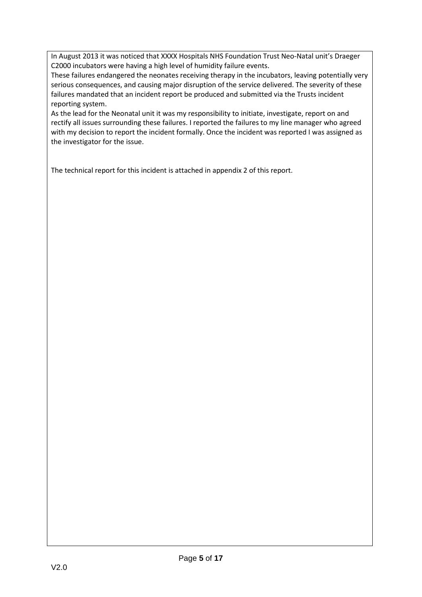In August 2013 it was noticed that XXXX Hospitals NHS Foundation Trust Neo-Natal unit's Draeger C2000 incubators were having a high level of humidity failure events.

These failures endangered the neonates receiving therapy in the incubators, leaving potentially very serious consequences, and causing major disruption of the service delivered. The severity of these failures mandated that an incident report be produced and submitted via the Trusts incident reporting system.

As the lead for the Neonatal unit it was my responsibility to initiate, investigate, report on and rectify all issues surrounding these failures. I reported the failures to my line manager who agreed with my decision to report the incident formally. Once the incident was reported I was assigned as the investigator for the issue.

The technical report for this incident is attached in appendix 2 of this report.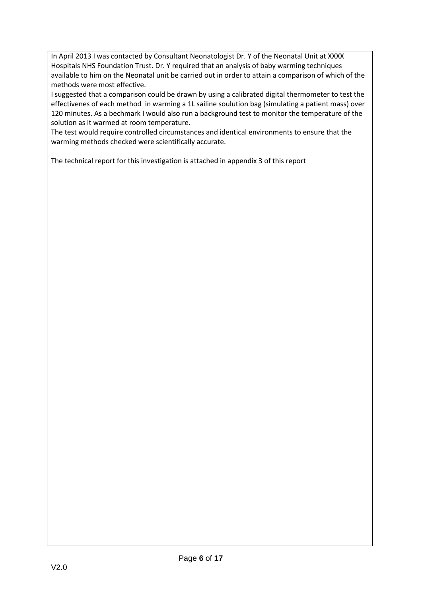In April 2013 I was contacted by Consultant Neonatologist Dr. Y of the Neonatal Unit at XXXX Hospitals NHS Foundation Trust. Dr. Y required that an analysis of baby warming techniques available to him on the Neonatal unit be carried out in order to attain a comparison of which of the methods were most effective.

I suggested that a comparison could be drawn by using a calibrated digital thermometer to test the effectivenes of each method in warming a 1L sailine soulution bag (simulating a patient mass) over 120 minutes. As a bechmark I would also run a background test to monitor the temperature of the solution as it warmed at room temperature.

The test would require controlled circumstances and identical environments to ensure that the warming methods checked were scientifically accurate.

The technical report for this investigation is attached in appendix 3 of this report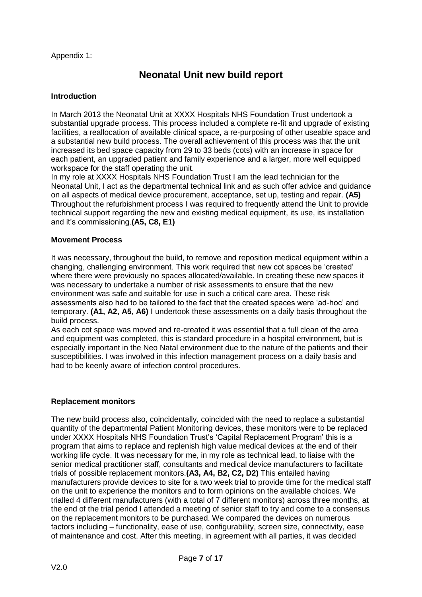Appendix 1:

## **Neonatal Unit new build report**

#### **Introduction**

In March 2013 the Neonatal Unit at XXXX Hospitals NHS Foundation Trust undertook a substantial upgrade process. This process included a complete re-fit and upgrade of existing facilities, a reallocation of available clinical space, a re-purposing of other useable space and a substantial new build process. The overall achievement of this process was that the unit increased its bed space capacity from 29 to 33 beds (cots) with an increase in space for each patient, an upgraded patient and family experience and a larger, more well equipped workspace for the staff operating the unit.

In my role at XXXX Hospitals NHS Foundation Trust I am the lead technician for the Neonatal Unit, I act as the departmental technical link and as such offer advice and guidance on all aspects of medical device procurement, acceptance, set up, testing and repair. **(A5)** Throughout the refurbishment process I was required to frequently attend the Unit to provide technical support regarding the new and existing medical equipment, its use, its installation and it's commissioning.**(A5, C8, E1)**

#### **Movement Process**

It was necessary, throughout the build, to remove and reposition medical equipment within a changing, challenging environment. This work required that new cot spaces be 'created' where there were previously no spaces allocated/available. In creating these new spaces it was necessary to undertake a number of risk assessments to ensure that the new environment was safe and suitable for use in such a critical care area. These risk assessments also had to be tailored to the fact that the created spaces were 'ad-hoc' and temporary. **(A1, A2, A5, A6)** I undertook these assessments on a daily basis throughout the build process.

As each cot space was moved and re-created it was essential that a full clean of the area and equipment was completed, this is standard procedure in a hospital environment, but is especially important in the Neo Natal environment due to the nature of the patients and their susceptibilities. I was involved in this infection management process on a daily basis and had to be keenly aware of infection control procedures.

#### **Replacement monitors**

The new build process also, coincidentally, coincided with the need to replace a substantial quantity of the departmental Patient Monitoring devices, these monitors were to be replaced under XXXX Hospitals NHS Foundation Trust's 'Capital Replacement Program' this is a program that aims to replace and replenish high value medical devices at the end of their working life cycle. It was necessary for me, in my role as technical lead, to liaise with the senior medical practitioner staff, consultants and medical device manufacturers to facilitate trials of possible replacement monitors.**(A3, A4, B2, C2, D2)** This entailed having manufacturers provide devices to site for a two week trial to provide time for the medical staff on the unit to experience the monitors and to form opinions on the available choices. We trialled 4 different manufacturers (with a total of 7 different monitors) across three months, at the end of the trial period I attended a meeting of senior staff to try and come to a consensus on the replacement monitors to be purchased. We compared the devices on numerous factors including – functionality, ease of use, configurability, screen size, connectivity, ease of maintenance and cost. After this meeting, in agreement with all parties, it was decided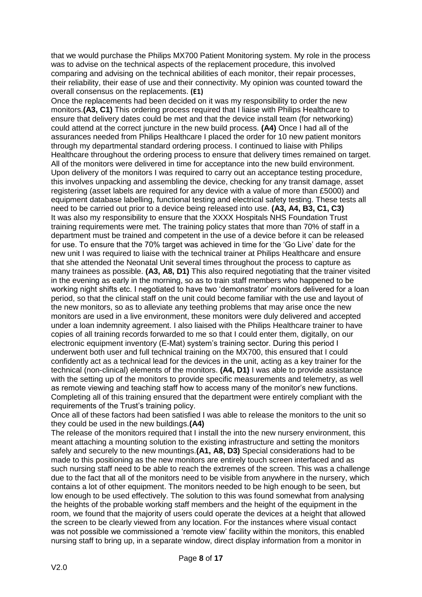that we would purchase the Philips MX700 Patient Monitoring system. My role in the process was to advise on the technical aspects of the replacement procedure, this involved comparing and advising on the technical abilities of each monitor, their repair processes, their reliability, their ease of use and their connectivity. My opinion was counted toward the overall consensus on the replacements. **(E1)**

Once the replacements had been decided on it was my responsibility to order the new monitors.**(A3, C1)** This ordering process required that I liaise with Philips Healthcare to ensure that delivery dates could be met and that the device install team (for networking) could attend at the correct juncture in the new build process. **(A4)** Once I had all of the assurances needed from Philips Healthcare I placed the order for 10 new patient monitors through my departmental standard ordering process. I continued to liaise with Philips Healthcare throughout the ordering process to ensure that delivery times remained on target. All of the monitors were delivered in time for acceptance into the new build environment. Upon delivery of the monitors I was required to carry out an acceptance testing procedure, this involves unpacking and assembling the device, checking for any transit damage, asset registering (asset labels are required for any device with a value of more than £5000) and equipment database labelling, functional testing and electrical safety testing. These tests all need to be carried out prior to a device being released into use. **(A3, A4, B3, C1, C3)** It was also my responsibility to ensure that the XXXX Hospitals NHS Foundation Trust training requirements were met. The training policy states that more than 70% of staff in a department must be trained and competent in the use of a device before it can be released for use. To ensure that the 70% target was achieved in time for the 'Go Live' date for the new unit I was required to liaise with the technical trainer at Philips Healthcare and ensure that she attended the Neonatal Unit several times throughout the process to capture as many trainees as possible. **(A3, A8, D1)** This also required negotiating that the trainer visited in the evening as early in the morning, so as to train staff members who happened to be working night shifts etc. I negotiated to have two 'demonstrator' monitors delivered for a loan period, so that the clinical staff on the unit could become familiar with the use and layout of the new monitors, so as to alleviate any teething problems that may arise once the new monitors are used in a live environment, these monitors were duly delivered and accepted under a loan indemnity agreement. I also liaised with the Philips Healthcare trainer to have copies of all training records forwarded to me so that I could enter them, digitally, on our electronic equipment inventory (E-Mat) system's training sector. During this period I underwent both user and full technical training on the MX700, this ensured that I could confidently act as a technical lead for the devices in the unit, acting as a key trainer for the technical (non-clinical) elements of the monitors. **(A4, D1)** I was able to provide assistance with the setting up of the monitors to provide specific measurements and telemetry, as well as remote viewing and teaching staff how to access many of the monitor's new functions. Completing all of this training ensured that the department were entirely compliant with the requirements of the Trust's training policy.

Once all of these factors had been satisfied I was able to release the monitors to the unit so they could be used in the new buildings.**(A4)**

The release of the monitors required that I install the into the new nursery environment, this meant attaching a mounting solution to the existing infrastructure and setting the monitors safely and securely to the new mountings.**(A1, A8, D3)** Special considerations had to be made to this positioning as the new monitors are entirely touch screen interfaced and as such nursing staff need to be able to reach the extremes of the screen. This was a challenge due to the fact that all of the monitors need to be visible from anywhere in the nursery, which contains a lot of other equipment. The monitors needed to be high enough to be seen, but low enough to be used effectively. The solution to this was found somewhat from analysing the heights of the probable working staff members and the height of the equipment in the room, we found that the majority of users could operate the devices at a height that allowed the screen to be clearly viewed from any location. For the instances where visual contact was not possible we commissioned a 'remote view' facility within the monitors, this enabled nursing staff to bring up, in a separate window, direct display information from a monitor in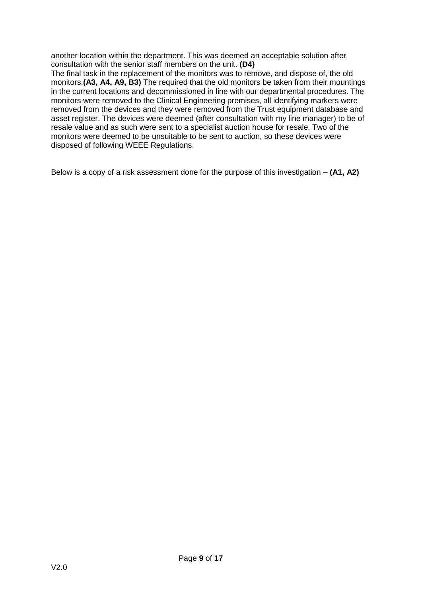another location within the department. This was deemed an acceptable solution after consultation with the senior staff members on the unit. **(D4)**

The final task in the replacement of the monitors was to remove, and dispose of, the old monitors.**(A3, A4, A9, B3)** The required that the old monitors be taken from their mountings in the current locations and decommissioned in line with our departmental procedures. The monitors were removed to the Clinical Engineering premises, all identifying markers were removed from the devices and they were removed from the Trust equipment database and asset register. The devices were deemed (after consultation with my line manager) to be of resale value and as such were sent to a specialist auction house for resale. Two of the monitors were deemed to be unsuitable to be sent to auction, so these devices were disposed of following WEEE Regulations.

Below is a copy of a risk assessment done for the purpose of this investigation – **(A1, A2)**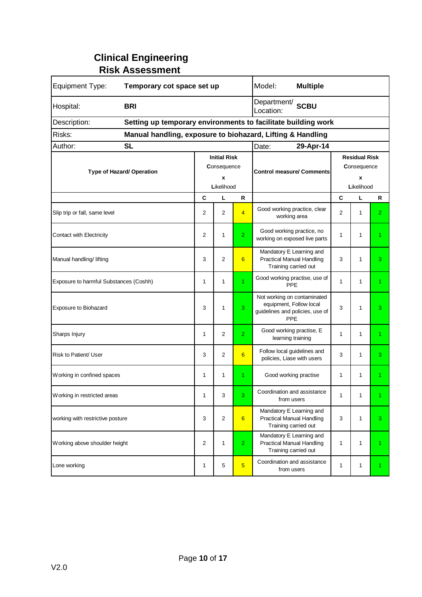## **Clinical Engineering Risk Assessment**

| Equipment Type:                                                      | Temporary cot space set up |                     |                |                                                               | Model:<br><b>Multiple</b>                                                                        |                      |              |                |  |
|----------------------------------------------------------------------|----------------------------|---------------------|----------------|---------------------------------------------------------------|--------------------------------------------------------------------------------------------------|----------------------|--------------|----------------|--|
| Hospital:                                                            | <b>BRI</b>                 |                     |                | Department/<br><b>SCBU</b><br>Location:                       |                                                                                                  |                      |              |                |  |
| Description:                                                         |                            |                     |                | Setting up temporary environments to facilitate building work |                                                                                                  |                      |              |                |  |
| Risks:<br>Manual handling, exposure to biohazard, Lifting & Handling |                            |                     |                |                                                               |                                                                                                  |                      |              |                |  |
| Author:                                                              | <b>SL</b>                  |                     |                |                                                               | 29-Apr-14<br>Date:                                                                               |                      |              |                |  |
| Type of Hazard/ Operation                                            |                            | <b>Initial Risk</b> |                |                                                               |                                                                                                  | <b>Residual Risk</b> |              |                |  |
|                                                                      |                            | Consequence         |                |                                                               | <b>Control measure/ Comments</b>                                                                 | <b>Consequence</b>   |              |                |  |
|                                                                      |                            | X<br>Likelihood     |                |                                                               |                                                                                                  | X<br>Likelihood      |              |                |  |
|                                                                      |                            | C                   | L              | R                                                             |                                                                                                  | C                    | L            | R              |  |
| Slip trip or fall, same level                                        |                            | 2                   | $\overline{2}$ | $\overline{4}$                                                | Good working practice, clear<br>working area                                                     | $\overline{2}$       | 1            | $\overline{2}$ |  |
| <b>Contact with Electricity</b>                                      |                            | 2                   | 1              | $\overline{2}$                                                | Good working practice, no<br>working on exposed live parts                                       | 1                    | 1            | 1              |  |
| Manual handling/ lifting                                             |                            | 3                   | 2              | 6                                                             | Mandatory E Learning and<br><b>Practical Manual Handling</b><br>Training carried out             | 3                    | 1            | 3              |  |
| Exposure to harmful Substances (Coshh)                               |                            | 1                   | 1              | $\overline{1}$                                                | Good working practise, use of<br>PPE                                                             | 1                    | 1            | 1.             |  |
| Exposure to Biohazard                                                |                            | 3                   | 1              | 3                                                             | Not working on contaminated<br>equipment, Follow local<br>guidelines and policies, use of<br>PPE | 3                    | 1            | 3              |  |
| Sharps Injury                                                        |                            | 1                   | 2              | $\overline{2}$                                                | Good working practise, E<br>learning training                                                    | 1                    | 1            | 1.             |  |
| Risk to Patient/ User                                                |                            | 3                   | 2              | 6                                                             | Follow local guidelines and<br>policies, Liase with users                                        | 3                    | 1            | 3              |  |
| Working in confined spaces                                           |                            | 1                   | 1              | 1                                                             | Good working practise                                                                            | 1                    | $\mathbf{1}$ | 1.             |  |
| Working in restricted areas                                          |                            | 1                   | 3              | 3                                                             | Coordination and assistance<br>from users                                                        | 1                    | 1            |                |  |
| working with restrictive posture                                     |                            | 3                   | 2              | 6                                                             | Mandatory E Learning and<br><b>Practical Manual Handling</b><br>Training carried out             | 3                    | 1            | 3              |  |
| Working above shoulder height                                        |                            | 2                   | 1              | $\overline{2}$                                                | Mandatory E Learning and<br><b>Practical Manual Handling</b><br>Training carried out             | 1                    | 1            | 1.             |  |
| Lone working                                                         |                            | 1                   | 5              | $5\overline{5}$                                               | Coordination and assistance<br>from users                                                        | 1                    | 1            | 1.             |  |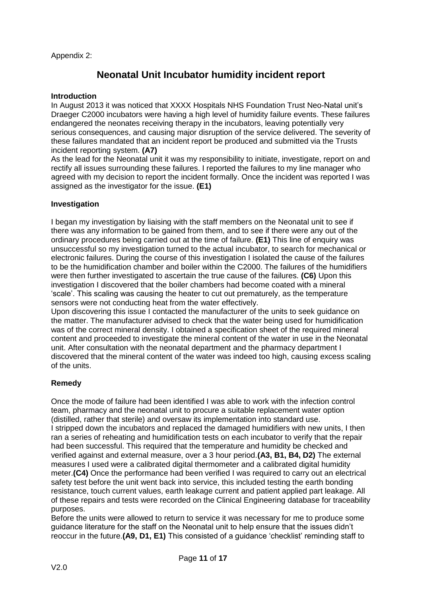Appendix 2:

## **Neonatal Unit Incubator humidity incident report**

#### **Introduction**

In August 2013 it was noticed that XXXX Hospitals NHS Foundation Trust Neo-Natal unit's Draeger C2000 incubators were having a high level of humidity failure events. These failures endangered the neonates receiving therapy in the incubators, leaving potentially very serious consequences, and causing major disruption of the service delivered. The severity of these failures mandated that an incident report be produced and submitted via the Trusts incident reporting system. **(A7)**

As the lead for the Neonatal unit it was my responsibility to initiate, investigate, report on and rectify all issues surrounding these failures. I reported the failures to my line manager who agreed with my decision to report the incident formally. Once the incident was reported I was assigned as the investigator for the issue. **(E1)**

#### **Investigation**

I began my investigation by liaising with the staff members on the Neonatal unit to see if there was any information to be gained from them, and to see if there were any out of the ordinary procedures being carried out at the time of failure. **(E1)** This line of enquiry was unsuccessful so my investigation turned to the actual incubator, to search for mechanical or electronic failures. During the course of this investigation I isolated the cause of the failures to be the humidification chamber and boiler within the C2000. The failures of the humidifiers were then further investigated to ascertain the true cause of the failures. **(C6)** Upon this investigation I discovered that the boiler chambers had become coated with a mineral 'scale'. This scaling was causing the heater to cut out prematurely, as the temperature sensors were not conducting heat from the water effectively.

Upon discovering this issue I contacted the manufacturer of the units to seek guidance on the matter. The manufacturer advised to check that the water being used for humidification was of the correct mineral density. I obtained a specification sheet of the required mineral content and proceeded to investigate the mineral content of the water in use in the Neonatal unit. After consultation with the neonatal department and the pharmacy department I discovered that the mineral content of the water was indeed too high, causing excess scaling of the units.

#### **Remedy**

Once the mode of failure had been identified I was able to work with the infection control team, pharmacy and the neonatal unit to procure a suitable replacement water option (distilled, rather that sterile) and oversaw its implementation into standard use. I stripped down the incubators and replaced the damaged humidifiers with new units, I then ran a series of reheating and humidification tests on each incubator to verify that the repair had been successful. This required that the temperature and humidity be checked and verified against and external measure, over a 3 hour period.**(A3, B1, B4, D2)** The external measures I used were a calibrated digital thermometer and a calibrated digital humidity meter.**(C4)** Once the performance had been verified I was required to carry out an electrical safety test before the unit went back into service, this included testing the earth bonding resistance, touch current values, earth leakage current and patient applied part leakage. All of these repairs and tests were recorded on the Clinical Engineering database for traceability purposes.

Before the units were allowed to return to service it was necessary for me to produce some guidance literature for the staff on the Neonatal unit to help ensure that the issues didn't reoccur in the future.**(A9, D1, E1)** This consisted of a guidance 'checklist' reminding staff to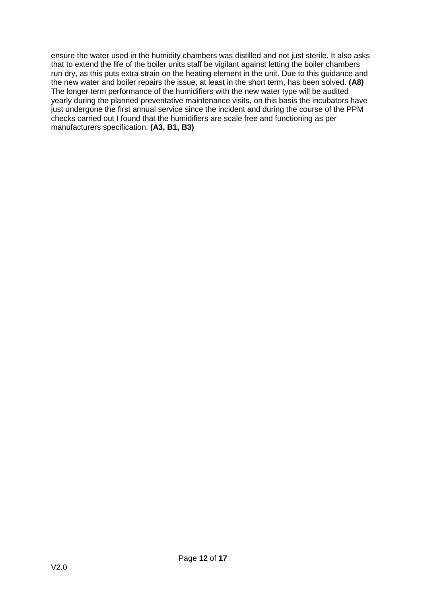ensure the water used in the humidity chambers was distilled and not just sterile. It also asks that to extend the life of the boiler units staff be vigilant against letting the boiler chambers run dry, as this puts extra strain on the heating element in the unit. Due to this guidance and the new water and boiler repairs the issue, at least in the short term, has been solved. **(A8)** The longer term performance of the humidifiers with the new water type will be audited yearly during the planned preventative maintenance visits, on this basis the incubators have just undergone the first annual service since the incident and during the course of the PPM checks carried out I found that the humidifiers are scale free and functioning as per manufacturers specification. **(A3, B1, B3)**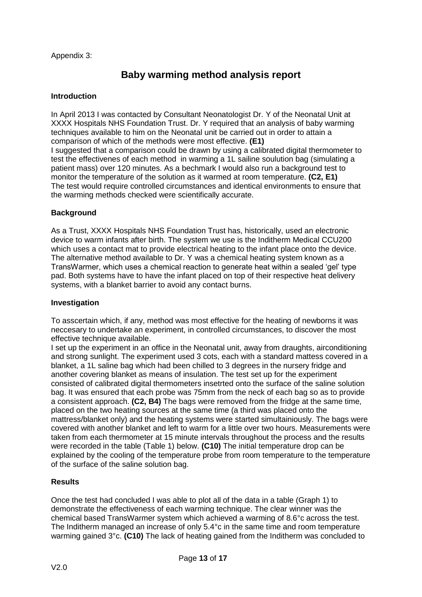Appendix 3:

## **Baby warming method analysis report**

#### **Introduction**

In April 2013 I was contacted by Consultant Neonatologist Dr. Y of the Neonatal Unit at XXXX Hospitals NHS Foundation Trust. Dr. Y required that an analysis of baby warming techniques available to him on the Neonatal unit be carried out in order to attain a comparison of which of the methods were most effective. **(E1)** I suggested that a comparison could be drawn by using a calibrated digital thermometer to test the effectivenes of each method in warming a 1L sailine soulution bag (simulating a patient mass) over 120 minutes. As a bechmark I would also run a background test to monitor the temperature of the solution as it warmed at room temperature. **(C2, E1)** The test would require controlled circumstances and identical environments to ensure that the warming methods checked were scientifically accurate.

#### **Background**

As a Trust, XXXX Hospitals NHS Foundation Trust has, historically, used an electronic device to warm infants after birth. The system we use is the Inditherm Medical CCU200 which uses a contact mat to provide electrical heating to the infant place onto the device. The alternative method available to Dr. Y was a chemical heating system known as a TransWarmer, which uses a chemical reaction to generate heat within a sealed 'gel' type pad. Both systems have to have the infant placed on top of their respective heat delivery systems, with a blanket barrier to avoid any contact burns.

#### **Investigation**

To asscertain which, if any, method was most effective for the heating of newborns it was neccesary to undertake an experiment, in controlled circumstances, to discover the most effective technique available.

I set up the experiment in an office in the Neonatal unit, away from draughts, airconditioning and strong sunlight. The experiment used 3 cots, each with a standard mattess covered in a blanket, a 1L saline bag which had been chilled to 3 degrees in the nursery fridge and another covering blanket as means of insulation. The test set up for the experiment consisted of calibrated digital thermometers insetrted onto the surface of the saline solution bag. It was ensured that each probe was 75mm from the neck of each bag so as to provide a consistent approach. **(C2, B4)** The bags were removed from the fridge at the same time, placed on the two heating sources at the same time (a third was placed onto the mattress/blanket only) and the heating systems were started simultainiously. The bags were covered with another blanket and left to warm for a little over two hours. Measurements were taken from each thermometer at 15 minute intervals throughout the process and the results were recorded in the table (Table 1) below. **(C10)** The initial temperature drop can be explained by the cooling of the temperature probe from room temperature to the temperature of the surface of the saline solution bag.

#### **Results**

Once the test had concluded I was able to plot all of the data in a table (Graph 1) to demonstrate the effectiveness of each warming technique. The clear winner was the chemical based TransWarmer system which achieved a warming of 8.6°c across the test. The Inditherm managed an increase of only 5.4°c in the same time and room temperature warming gained 3°c. **(C10)** The lack of heating gained from the Inditherm was concluded to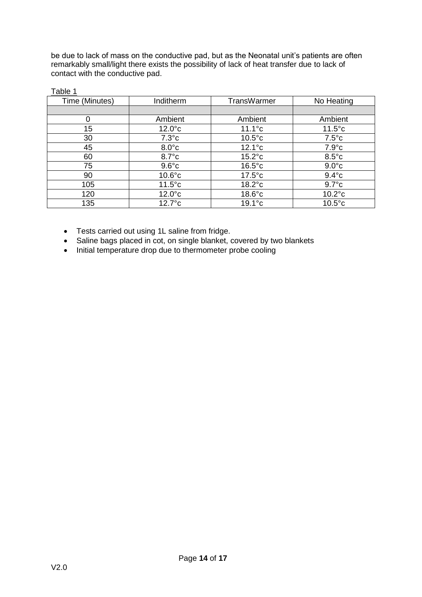be due to lack of mass on the conductive pad, but as the Neonatal unit's patients are often remarkably small/light there exists the possibility of lack of heat transfer due to lack of contact with the conductive pad.

| Inditherm       | <b>TransWarmer</b> | No Heating       |
|-----------------|--------------------|------------------|
|                 |                    |                  |
| Ambient         | Ambient            | Ambient          |
| $12.0^{\circ}c$ | $11.1^{\circ}c$    | $11.5^{\circ}c$  |
| $7.3^{\circ}c$  | $10.5^{\circ}$ c   | $7.5^{\circ}c$   |
| $8.0^{\circ}$ c | $12.1^{\circ}c$    | $7.9^{\circ}c$   |
| $8.7^{\circ}$ c | $15.2^{\circ}c$    | $8.5^{\circ}$ c  |
| $9.6^{\circ}$ c | $16.5^{\circ}$ c   | $9.0^{\circ}$ c  |
| $10.6^{\circ}c$ | $17.5^{\circ}c$    | $9.4^{\circ}$ c  |
| $11.5^{\circ}c$ | $18.2^{\circ}c$    | $9.7^{\circ}$ c  |
| $12.0^{\circ}c$ | $18.6^{\circ}$ c   | $10.2^{\circ}c$  |
| $12.7^\circ c$  | $19.1^\circ c$     | $10.5^{\circ}$ c |
|                 |                    |                  |

Table 1

- Tests carried out using 1L saline from fridge.
- Saline bags placed in cot, on single blanket, covered by two blankets
- Initial temperature drop due to thermometer probe cooling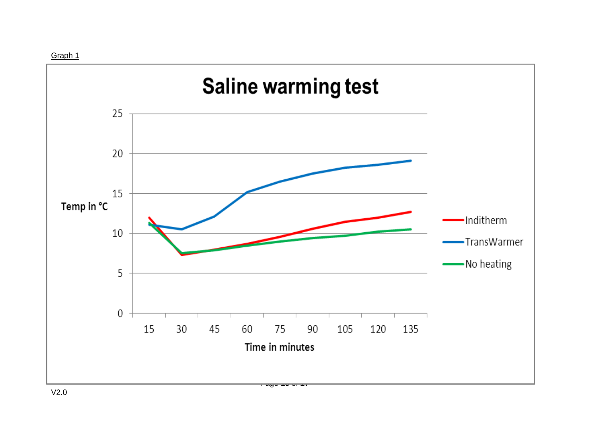Graph 1

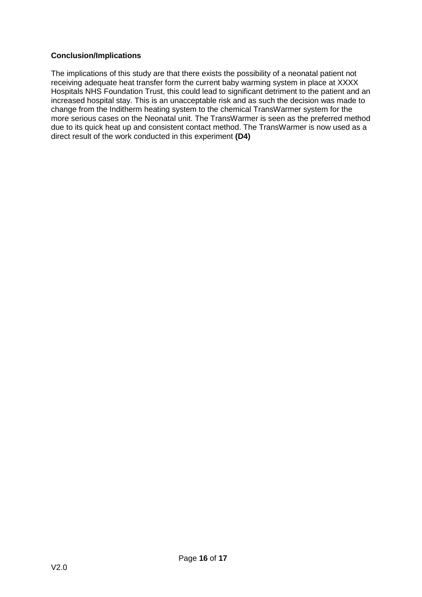#### **Conclusion/Implications**

The implications of this study are that there exists the possibility of a neonatal patient not receiving adequate heat transfer form the current baby warming system in place at XXXX Hospitals NHS Foundation Trust, this could lead to significant detriment to the patient and an increased hospital stay. This is an unacceptable risk and as such the decision was made to change from the Inditherm heating system to the chemical TransWarmer system for the more serious cases on the Neonatal unit. The TransWarmer is seen as the preferred method due to its quick heat up and consistent contact method. The TransWarmer is now used as a direct result of the work conducted in this experiment **(D4)**